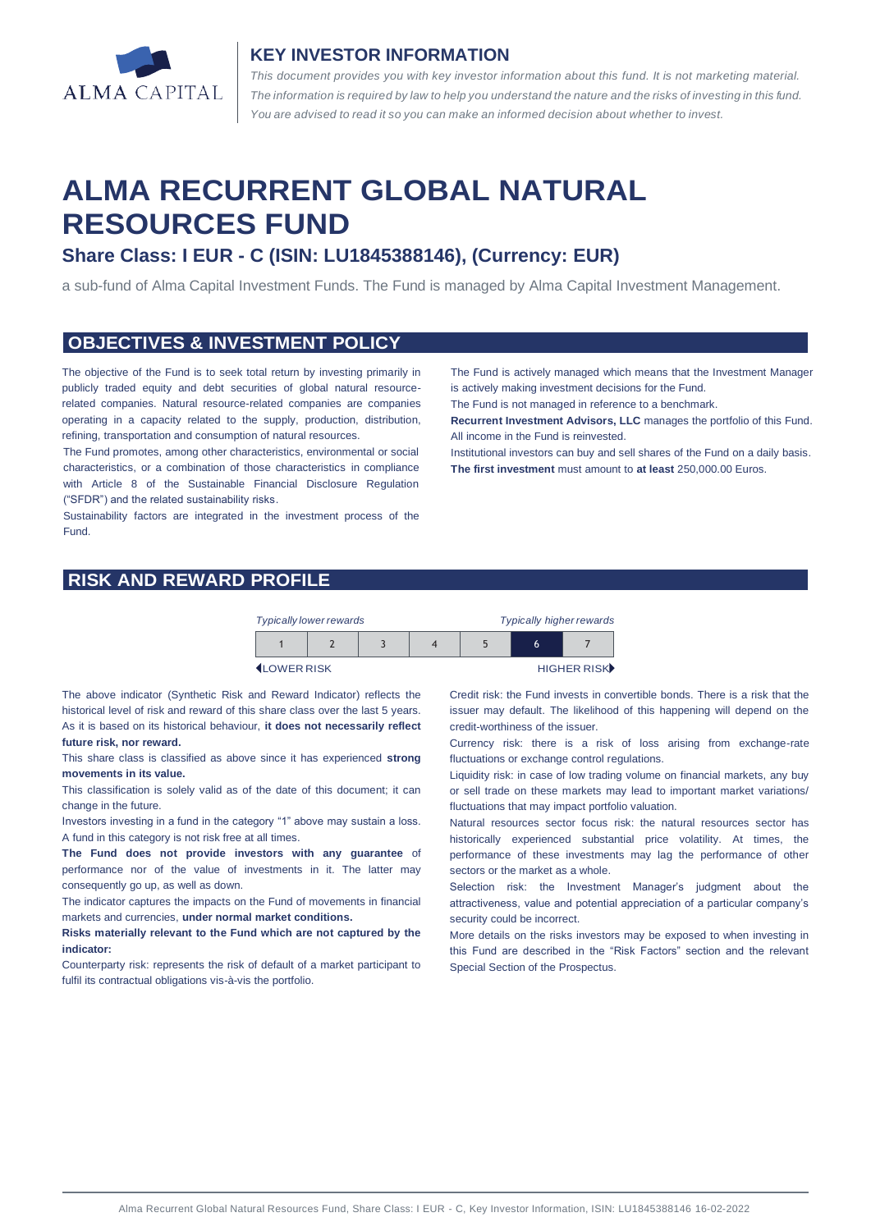

#### **KEY INVESTOR INFORMATION**

*This document provides you with key investor information about this fund. It is not marketing material.*  The information is required by law to help you understand the nature and the risks of investing in this fund. *You are advised to read it so you can make an informed decision about whether to invest.*

# **ALMA RECURRENT GLOBAL NATURAL RESOURCES FUND**

# **Share Class: I EUR - C (ISIN: LU1845388146), (Currency: EUR)**

a sub-fund of Alma Capital Investment Funds. The Fund is managed by Alma Capital Investment Management.

#### **OBJECTIVES & INVESTMENT POLICY**

The objective of the Fund is to seek total return by investing primarily in publicly traded equity and debt securities of global natural resourcerelated companies. Natural resource-related companies are companies operating in a capacity related to the supply, production, distribution, refining, transportation and consumption of natural resources.

The Fund promotes, among other characteristics, environmental or social characteristics, or a combination of those characteristics in compliance with Article 8 of the Sustainable Financial Disclosure Regulation ("SFDR") and the related sustainability risks.

Sustainability factors are integrated in the investment process of the Fund.

The Fund is actively managed which means that the Investment Manager is actively making investment decisions for the Fund.

The Fund is not managed in reference to a benchmark.

**Recurrent Investment Advisors, LLC** manages the portfolio of this Fund. All income in the Fund is reinvested.

Institutional investors can buy and sell shares of the Fund on a daily basis. **The first investment** must amount to **at least** 250,000.00 Euros.

#### **RISK AND REWARD PROFILE**

| <b>Typically higher rewards</b><br><b>Typically lower rewards</b> |  |  |  |  |   |  |
|-------------------------------------------------------------------|--|--|--|--|---|--|
|                                                                   |  |  |  |  | 6 |  |
| HIGHER RISK<br><b>ILOWER RISK</b>                                 |  |  |  |  |   |  |

The above indicator (Synthetic Risk and Reward Indicator) reflects the historical level of risk and reward of this share class over the last 5 years. As it is based on its historical behaviour, **it does not necessarily reflect future risk, nor reward.** 

This share class is classified as above since it has experienced **strong movements in its value.** 

This classification is solely valid as of the date of this document; it can change in the future.

Investors investing in a fund in the category "1" above may sustain a loss. A fund in this category is not risk free at all times.

**The Fund does not provide investors with any guarantee** of performance nor of the value of investments in it. The latter may consequently go up, as well as down.

The indicator captures the impacts on the Fund of movements in financial markets and currencies, **under normal market conditions.**

**Risks materially relevant to the Fund which are not captured by the indicator:** 

Counterparty risk: represents the risk of default of a market participant to fulfil its contractual obligations vis-à-vis the portfolio.

Credit risk: the Fund invests in convertible bonds. There is a risk that the issuer may default. The likelihood of this happening will depend on the credit-worthiness of the issuer.

Currency risk: there is a risk of loss arising from exchange-rate fluctuations or exchange control regulations.

Liquidity risk: in case of low trading volume on financial markets, any buy or sell trade on these markets may lead to important market variations/ fluctuations that may impact portfolio valuation.

Natural resources sector focus risk: the natural resources sector has historically experienced substantial price volatility. At times, the performance of these investments may lag the performance of other sectors or the market as a whole.

Selection risk: the Investment Manager's judgment about the attractiveness, value and potential appreciation of a particular company's security could be incorrect.

More details on the risks investors may be exposed to when investing in this Fund are described in the "Risk Factors" section and the relevant Special Section of the Prospectus.